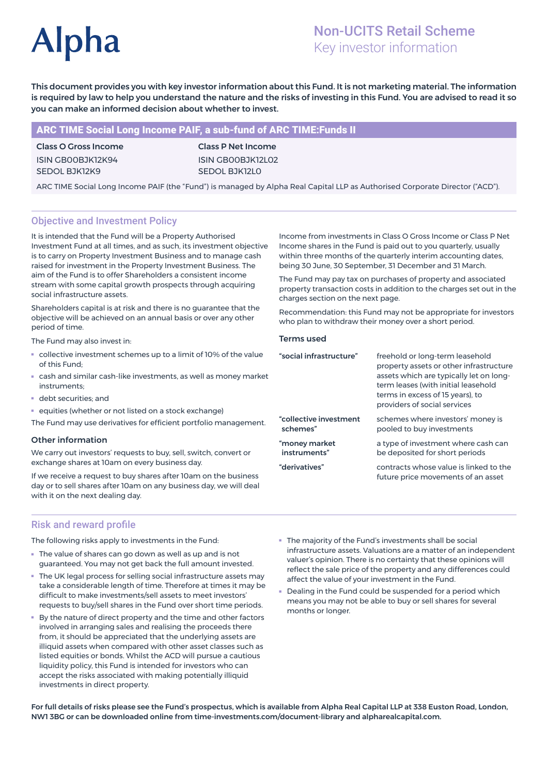# **Alpha**

# Non-UCITS Retail Scheme Key investor information

This document provides you with key investor information about this Fund. It is not marketing material. The information is required by law to help you understand the nature and the risks of investing in this Fund. You are advised to read it so you can make an informed decision about whether to invest.

# ARC TIME Social Long Income PAIF, a sub-fund of ARC TIME:Funds II

Class O Gross Income ISIN GB00BJK12K94 SEDOL BJK12K9

Class P Net Income ISIN GB00BJK12L02 SEDOL BJK12L0

ARC TIME Social Long Income PAIF (the "Fund") is managed by Alpha Real Capital LLP as Authorised Corporate Director ("ACD").

# Objective and Investment Policy

It is intended that the Fund will be a Property Authorised Investment Fund at all times, and as such, its investment objective is to carry on Property Investment Business and to manage cash raised for investment in the Property Investment Business. The aim of the Fund is to offer Shareholders a consistent income stream with some capital growth prospects through acquiring social infrastructure assets.

Shareholders capital is at risk and there is no guarantee that the objective will be achieved on an annual basis or over any other period of time.

The Fund may also invest in:

- collective investment schemes up to a limit of 10% of the value of this Fund;
- cash and similar cash-like investments, as well as money market instruments;
- debt securities; and
- equities (whether or not listed on a stock exchange)

The Fund may use derivatives for efficient portfolio management.

#### Other information

We carry out investors' requests to buy, sell, switch, convert or exchange shares at 10am on every business day.

If we receive a request to buy shares after 10am on the business day or to sell shares after 10am on any business day, we will deal with it on the next dealing day.

Income from investments in Class O Gross Income or Class P Net Income shares in the Fund is paid out to you quarterly, usually within three months of the quarterly interim accounting dates, being 30 June, 30 September, 31 December and 31 March.

The Fund may pay tax on purchases of property and associated property transaction costs in addition to the charges set out in the charges section on the next page.

Recommendation: this Fund may not be appropriate for investors who plan to withdraw their money over a short period.

#### Terms used

| "social infrastructure" | freehold or long-term leasehold<br>property assets or other infrastructure<br>assets which are typically let on long-<br>term leases (with initial leasehold<br>terms in excess of 15 years), to<br>providers of social services |
|-------------------------|----------------------------------------------------------------------------------------------------------------------------------------------------------------------------------------------------------------------------------|
| "collective investment  | schemes where investors' money is                                                                                                                                                                                                |
| schemes"                | pooled to buy investments                                                                                                                                                                                                        |
| "money market           | a type of investment where cash can                                                                                                                                                                                              |
| instruments"            | be deposited for short periods                                                                                                                                                                                                   |
| "derivatives"           | contracts whose value is linked to the<br>future price movements of an asset                                                                                                                                                     |

## Risk and reward profile

The following risks apply to investments in the Fund:

- The value of shares can go down as well as up and is not guaranteed. You may not get back the full amount invested.
- The UK legal process for selling social infrastructure assets may take a considerable length of time. Therefore at times it may be difficult to make investments/sell assets to meet investors' requests to buy/sell shares in the Fund over short time periods.
- By the nature of direct property and the time and other factors involved in arranging sales and realising the proceeds there from, it should be appreciated that the underlying assets are illiquid assets when compared with other asset classes such as listed equities or bonds. Whilst the ACD will pursue a cautious liquidity policy, this Fund is intended for investors who can accept the risks associated with making potentially illiquid investments in direct property.
- The majority of the Fund's investments shall be social infrastructure assets. Valuations are a matter of an independent valuer's opinion. There is no certainty that these opinions will reflect the sale price of the property and any differences could affect the value of your investment in the Fund.
- Dealing in the Fund could be suspended for a period which means you may not be able to buy or sell shares for several months or longer.

For full details of risks please see the Fund's prospectus, which is available from Alpha Real Capital LLP at 338 Euston Road, London, NW1 3BG or can be downloaded online from time-investments.com/document-library and alpharealcapital.com.